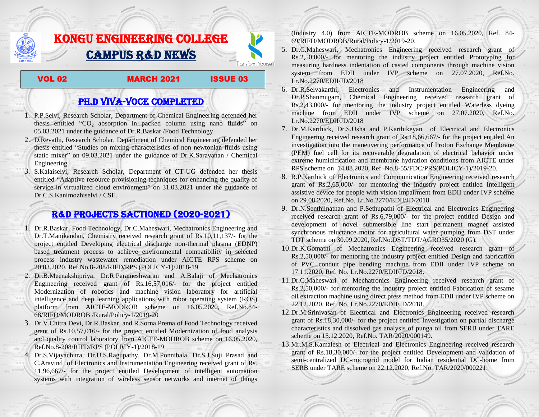# KONGU ENGINEERING COLLEGE CAMPUS R&D NEWS

VOL 02 MARCH 2021 ISSUE 03

**Transform Yourself** 

## PH.D VIVA-VOCE COMPLETED

- 1. P.P.Selvi, Research Scholar, Department of Chemical Engineering defended her thesis entitled " $CO<sub>2</sub>$  absorption in packed column using nano fluids" on 05.03.2021 under the guidance of Dr.R.Baskar /Food Technology.
- 2. D.Revathi, Research Scholar, Department of Chemical Engineering defended her thesis entitled "Studies on mixing characteristics of non newtonian fluids using static mixer" on 09.03.2021 under the guidance of Dr.K.Saravanan / Chemical Engineering.
- 3. S.Kalaiselvi, Research Scholar, Department of CT-UG defended her thesis entitled "Adaptive resource provisioning techniques for enhancing the quality of service in virtualized cloud environment" on 31.03.2021 under the guidance of Dr.C.S.Kanimozhiselvi / CSE.

## R&D PROJECTS SACTIONED (2020-2021)

- 1. Dr.R.Baskar, Food Technology, Dr.C.Maheswari, Mechatronics Engineering and Dr.T.Manikandan, Chemistry received research grant of Rs.10,11,137/- for the project entitled Developing electrical discharge non-thermal plasma (EDNP) based treatment process to achieve environmental compatibility in selected process industry wastewater remediation under AICTE RPS scheme on 20.03.2020, Ref.No.8-208/RIFD/RPS (POLICY-1)/2018-19
- 2. Dr.B.Meenakshipriya, Dr.R.Parameshwaran and A.Balaji of Mechatronics Engineering received grant of Rs.16,57,016/- for the project entitled Modernization [of robotics and machine vision laboratory for artificial](http://rnd.kongu.edu/ractivities/mts/data/)  [intelligence and deep learning applications with robot operating system \(ROS\)](http://rnd.kongu.edu/ractivities/mts/data/)  [platform](http://rnd.kongu.edu/ractivities/mts/data/) from AICTE-MODROB scheme on 16.05.2020, Ref.No.84- 68/RIFD/MODROB /Rural/Policy-1/2019-20
- 3. Dr.V.Chitra Devi, Dr.R.Baskar, and R.Sorna Prema of Food Technology received grant of Rs.10,57,016/- for the project entitled Modernization of food analysis and quality control laboratory from AICTE-MODROB scheme on 16.05.2020, Ref.No.8-208/RIFD/RPS (POLICY-1)/2018-19
- 4. Dr.S.Vijayachitra, Dr.U.S.Ragupathy, Dr.M.Ponnibala, Dr.S.J.Suji Prasad and C.Aravind of Electronics and Instrumentation Engineering received grant of Rs. 11,96,667/- for the project entitled Development of intelligent automation systems with integration of wireless sensor networks and internet of things

(Industry 4.0) from AICTE-MODROB scheme on 16.05.2020, Ref. 84- 69/RIFD/MODROB/Rural/Policy-1/2019-20.

- 5. Dr.C.Maheswari, Mechatronics Engineering received research grant of Rs.2,50,000/- for mentoring the industry project entitled [Prototyping for](http://rnd.kongu.edu/ractivities/mts/data/)  [measuring hardness indentation of casted components through machine vision](http://rnd.kongu.edu/ractivities/mts/data/)  [system](http://rnd.kongu.edu/ractivities/mts/data/) from EDII under IVP scheme on 27.07.2020, Ref.No. Lr.No.2270/EDII/JD/2018
- 6. Dr.R.Selvakarthi, Electronics and Instrumentation Engineering and Dr.P.Shanmugam, Chemical Engineering received research grant of Rs.2,43,000/- for mentoring the industry project entitled Waterless dyeing machine from EDII under IVP scheme on 27.07.2020, Ref.No. Lr.No.2270/EDII/JD/2018
- 7. Dr.M.Karthick, Dr.S.Usha and P.Karthikeyan of Electrical and Electronics Engineering received research grant of Rs.18,66,667/- for the project entitled An investigation into the maneuvering performance of Proton Exchange Membrane (PEM) fuel cell for its recoverable degradation of electrical behavior under extreme humidification and membrane hydration conditions from AICTE under RPS scheme on 14.08.2020, Ref. No.8-55/FDC/PRS(POLICY-1)/2019-20.
- 8. R.P.Karthick of Electronics and Communication Engineering received research grant of Rs.2,65,000/- for mentoring the industry project entitled Intelligent assistive device for people with vision impairment from EDII under IVP scheme on 29.08.2020, Ref.No. Lr.No.2270/EDII/JD/2018
- 9. Dr.N.Senthilnathan and P.Sethupathi of Electrical and Electronics Engineering received research grant of Rs.6,79,000/- for the project entitled Design and development of novel submersible line start permanent magnet assisted synchronous reluctance motor for agricultural water pumping from DST under TDT scheme on 30.09.2020, Ref.No.DST/TDT/AGRO35/2020 (G).
- 10.Dr.K.Gomathi of Mechatronics Engineering received research grant of Rs.2,50,000/- for mentoring the industry project entitled Design and fabrication of PVC conduit pipe bending machine from EDII under IVP scheme on 17.11.2020, Ref. No. Lr.No.2270/EDII/JD/2018.
- 11.Dr.C.Maheswari of Mechatronics Engineering received research grant of Rs.2,50,000/- for mentoring the industry project entitled Fabrication of sesame oil extraction machine using direct press method from EDII under IVP scheme on 22.12.2020, Ref. No. Lr.No.2270/EDII/JD/2018.
- 12.Dr.M.Srinivasan of Electrical and Electronics Engineering received research grant of Rs.18,30,000/- for the project entitled Investigation on partial discharge characteristics and dissolved gas analysis of punga oil from SERB under TARE scheme on 15.12.2020, Ref.No. TAR/2020/000149.
- 13.Mr.M.S.Kamalesh of Electrical and Electronics Engineering received research grant of Rs.18,30,000/- for the project entitled Development and validation of semi-centralized DC-microgrid model for Indian residential DC-home from SERB under TARE scheme on 22.12.2020, Ref.No. TAR/2020/000221.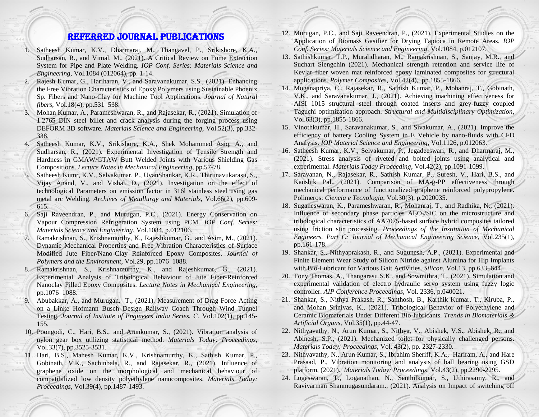### Referred JOURNAL publications

- 1. Satheesh Kumar, K.V., Dharmaraj, M., Thangavel, P., Srikishore, K.A., Sudharsan, R., and Vimal. M., (2021). A Critical Review on Fume Extraction System for Pipe and Plate Welding. *IOP Conf. Series: Materials Science and Engineering*, Vol.1084 (012064), pp. 1-14.
- 2. Rajesh Kumar, G., Hariharan, V., and Saravanakumar, S.S., (2021). Enhancing the Free Vibration Characteristics of Epoxy Polymers using Sustainable Phoenix Sp. Fibers and Nano-Clay for Machine Tool Applications. *Journal of Natural fibers,* Vol.18(4), pp.531–538.
- 3. Mohan Kumar, A., Parameshwaran, R., and Rajasekar, R., (2021). Simulation of 1.2765 DIN steel billet and crack analysis during the forging process using DEFORM 3D software. *Materials Science and Engineering*, Vol.52(3), pp.332- 338.
- 4. Satheesh Kumar, K.V., Srikishore, K.A., Shek Mohammed Asiq, A., and Sudharsan, R., (2021). Experimental Investigation of Tensile Strength and Hardness in GMAW/GTAW Butt Welded Joints with Various Shielding Gas Compositions. *Lecture Notes in Mechanical Engineering*, pp.57-78.
- 5. Satheesh Kumr, K.V., Selvakumar, P., UvanShankar, K.R., Thirunavukarasu, S., Vijay Anand, V., and Vishal, D., (2021). Investigation on the effect of technological Parameters on emission factor in 316l stainless steel using gas metal arc Welding. *Archives of Metallurgy and Materials*, Vol.66(2), pp.609- 615.
- 6. Saji Raveendran, P., and Murugan, P.C., (2021). Energy Conservation on Vapour Compression Refrigeration System using PCM. *IOP Conf. Series: Materials Science and Engineering*, Vol.1084, p.012106.
- 7. Ramakrishnan, S., Krishnamurthy, K., Rajeshkumar, G., and Asim, M., (2021). Dynamic Mechanical Properties and Free Vibration Characteristics of Surface Modified Jute Fiber/Nano-Clay Reinforced Epoxy Composites. *Journal of Polymers and the Environment*, Vol.29, pp.1076–1088.
- 8. Ramakrishnan, S., Krishnamurthy, K., and Rajeshkumar, G., (2021). Experimental Analysis of Tribological Behaviour of Jute Fiber-Reinforced Nanoclay Filled Epoxy Composites. *Lecture Notes in Mechanical Engineering*, pp.1076–1088.
- 9. Abubakkar, A., and Murugan. T., (2021). Measurement of Drag Force Acting on a Linke Hofmann Busch Design Railway Coach Through Wind Tunnel Testing. *Journal of Institute of Engineers India Series. C*. Vol.102(1), pp.145- 155.
- 10. Poongodi, C., Hari, B.S., and Arunkumar, S., (2021). Vibration analysis of nylon gear box utilizing statistical method. *Materials Today: Proceedings*, Vol.33(7), pp.3525-3531.
- 11. Hari, B.S., Mahesh Kumar, K.V., Krishnamurthy, K., Sathish Kumar, P., Gobinath, V.K., Sachinbala, R., and Rajasekar, R., (2021). Influence of graphene oxide on the morphological and mechanical behaviour of compatibilized low density polyethylene nanocomposites. *Materials Today: Proceedings*, Vol.39(4), pp.1487-1493.
- 12. Murugan, P.C., and Saji Raveendran, P., (2021). Experimental Studies on the Application of Biomass Gasifier for Drying Tapioca in Remote Areas. *IOP Conf. Series: Materials Science and Engineering*, Vol.1084, p.012107.
- 13. Sathishkumar, T.P., Muralidharan, M., Ramakrishnan, S., Sanjay, M.R., and Suchart Siengchin (2021). Mechanical strength retention and service life of Kevlar fiber woven mat reinforced epoxy laminated composites for structural applications. *Polymer Composites*, Vol.42(4), pp.1855-1866.
- 14. Moganapriya, C., Rajasekar, R., Sathish Kumar, P., Mohanraj, T., Gobinath, V.K., and Saravanakumar, J., (2021). Achieving machining effectiveness for AISI 1015 structural steel through coated inserts and grey-fuzzy coupled Taguchi optimization approach. *Structural and Multidisciplinary Optimization*, Vol.63(3), pp.1855-1866.
- 15. Vinothkumar, H., Saravanakumar, S., and Sivakumar, A., (2021). Improve the efficiency of battery Cooling System in E Vehicle by nano-fluids with CFD Analysis. *IOP Material Science and Engineering*, Vol.1126, p.012063.
- 16. Satheesh Kumar, K.V., Selvakumar, P., Jegadeeswari, R., and Dharmaraj, M., (2021). Stress analysis of riveted and bolted joints using analytical and experimental. *Materials Today Proceeding*, Vol.42(2), pp.1091-1099.
- 17. Saravanan, N., Rajasekar, R., Sathish Kumar, P., Suresh, V., Hari, B.S., and Kaushik Pal., (2021). Comparison of MA-g-PP effectiveness through mechanical performance of functionalized graphene reinforced polypropylene. Polimeros: *Ciencia e Tecnologia*, Vol.30(3), p.2020035.
- 18. Suganeswaran, K., Parameshwaran, R., Mohanraj, T., and Radhika, N., (2021). Influence of secondary phase particles  $A1_2O_3/SiC$  on the microstructure and tribological characteristics of AA7075-based surface hybrid composites tailored using friction stir processing. *Proceedings of the Institution of Mechanical Engineers. Part C: Journal of Mechanical Engineering Science*, Vol.235(1), pp.161-178.
- 19. Shankar, S., Nithyaprakash, R., and Sugunesh, A.P., (2021). Experimental and Finite Element Wear Study of Silicon Nitride against Alumina for Hip Implants with Bio-Lubricant for Various Gait Activities. *Silicon*, Vol.13, pp.633–644.
- 20. Tony Thomas, A., Thangarasu S.K., and Sowmithra, T., (2021). Simulation and experimental validation of electro hydraulic servo system using fuzzy logic controller. *AIP Conference Proceedings,* Vol. 2336, p.040021.
- 21. Shankar, S., Nithya Prakash, R., Santhosh, B., Karthik Kumar, T., Kiruba, P., and Mohan Srinivas, K., (2021). Tribological Behavior of Polyethylene and Ceramic Biomaterials Under Different Bio-lubricants. *Trends in Biomaterials & Artificial Organs*, Vol.35(1), pp.44-47.
- 22. Nithyavathy, N., Arun Kumar, S., Nithya, V., Abishek, V.S., Abishek, R., and Abinesh, S.P., (2021). Mechanized toilet for physically challenged persons. *Materials Today: Proceedings*, Vol. 43(2), pp. 2327-2330.
- 23. Nithyavathy, N., Arun Kumar, S., Ibrahim Sheriff, K.A., Hariram, A., and Hare Prasaad, P., Vibration monitoring and analysis of ball bearing using GSD platform, (2021). *Materials Today: Proceedings*, Vol.43(2), pp.2290-2295.
- 24. Logeswaran, T., Loganathan, N., Senthilkumar, S., Uthirasamy, R., and Ravivarman Shanmugasundaram., (2021). Analysis on Impact of switching off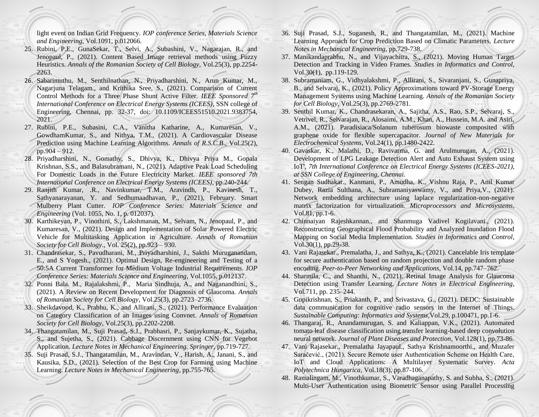light event on Indian Grid Frequency. *IOP conference Series, Materials Science and Engineering*, Vol.1091, p.012066.

- 25. Rubini, P.E., GunaSekar, T., Selvi, A., Subashini, V., Nagarajan, R., and Jenopaul, P., (2021). Content Based Image retrieval methods using Fuzzy Heuristics. *Annals of the Romanian Society of Cell Biology*, Vol.25(3), pp.2254- 2263.
- 26. Sabarimuthu, M., Senthilnathan, N., Priyadharshini, N., Arun Kumar, M., Nagarjuna Telagam., and Krithika Sree, S., (2021). Comparison of Current Control Methods for a Three Phase Shunt Active Filter. *IEEE Sponsored 7th International Conference on Electrical Energy Systems (ICEES)*, SSN college of Engineering, Chennai, pp. 32-37, doi: 10.1109/ICEES51510.2021.9383754, 2021.
- 27. Rubini, P.E., Subasini, C.A., Vanitha Katharine, A., Kumaresan, V., GowdhamKumar, S., and Nithya, T.M., (2021). A Cardiovascular Disease Prediction using Machine Learning Algorithms. *Annals of R.S.C.B*., Vol.25(2), pp.904 – 912.
- 28. Priyadharshini, N., Gomathy, S., Dhivya, K., Dhivya Priya M., Gopala Krishnan, S.S., and Balasubramani, N., (2021). Adaptive Peak Load Scheduling For Domestic Loads in the Future Electricity Market. *IEEE sponsored 7th International Conference on Electrical Energy Systems (ICEES)*, pp.240-244.
- 29. Ranjith Kumar, .R., Navinkumar, T.M., Aravindh, P., Kavinesh, T., Sathyanarayanan, Y. and Sedhumaadhavan, P., (2021), February. Smart Mulberry Plant Cutter. *IOP Conference Series: Materials Science and Engineering* (Vol. 1055, No. 1, p. 012037).
- 30. Karthikeyan, P., Vinothini, S., Lakshmanan, M., Selvam, N., Jenopaul, P., and Kumaresan, V., (2021). Design and Implementation of Solar Powered Electric Vehicle for Multitasking Application in Agriculture. *Annals of Romanian Society for Cell Biology*., Vol. 25(2), pp.923 – 930.
- 31. Chandrasekar, S., Pavudharani, M., Priyadharshini, J., Sakthi Muruganandam, E., and S Yogesh., (2021). Optimal Design, Re-engineering and Testing of a 50:5A Current Transformer for Medium Voltage Industrial Requirements. *IOP Conference Series: Materials Science and Engineering*, Vol.1055, p.012137.
- 32. Ponni Bala. M., Rajalakshmi, P., Maria Sindhuja, A., and Naganandhini, S., (2021). A Review on Recent Development for Diagnosis of Glaucoma. *Annals of Romanian Society for Cell Biology*, Vol.25(3), pp.2723–2736.
- 33. Sheikdavood, K., Prabhu, K., and Allirani, S., (2021). Performance Evaluation on Category Classification of an Images using Convnet. *Annals of Romanian Society for Cell Biology*, Vol.25(3), pp.2202-2208.
- 34. Thangatamilan, M., Suji Prasad, S.J., Prabhasri, P., Sanjaykumar, K., Sujatha, S., and Sujetha, S., (2021). Cabbage Discernment using CNN for Vegebot Application. *Lecture Notes in Mechanical Engineering. Springer,* pp.719-727.
- 35. Suji Prasad, S.J., Thangatamilan, M., Aravindan, V., Harish, A., Janani, S., and Kausika, S.D., (2021). Selection of the Best Crop for Farming using Machine Learning. *Lecture Notes in Mechanical Engineering*, pp.755-765.
- 36. Suji Prasad, S.J., Suganesh, R., and Thangatamilan, M., (2021). Machine Learning Approach for Crop Prediction Based on Climatic Parameters. *Lecture Notes in Mechanical Engineering*, pp.729-738.
- 37. Manikandaprabhu, N., and Vijayachitra, S., (2021). Moving Human Target Detection and Tracking in Video Frames. *Studies in Informatics and Control*, Vol.30(1), pp.119-129.
- 38. Subramaniam, G., Vidhyalakshmi, P., Allirani, S., Sivaranjani, S., Gunapriya, B., and Selvaraj, K., (2021). Policy Approximations toward PV-Storage Energy Management Systems using Machine Learning. *Annals of the Romanian Society for Cell Biology*, Vol.25(3), pp.2769-2781.
- 39. Senthil Kumar, K., Chandrasekaran, A., Sajitha, A.S., Rao, S.P., Selvaraj, S., Vetrivel, R., Selvarajan, R., Alosaimi, A.M., Khan, A., Hussein, M.A. and Asiri, A.M., (2021). Paradisiaca/Solanum tuberosum biowaste composited with graphene oxide for flexible supercapacitor. *Journal of New Materials for Electrochemical Systems*, Vol.24(1), pp.1480-2422.
- 40. Gavaskar, K., Malathi, D., Ravivarma, G. and Arulmurugan, A., (2021). Development of LPG Leakage Detection Alert and Auto Exhaust System using IoT', *7th International Conference on Electrical Energy Systems (ICEES-2021), at SSN College of Engineering, Chennai.*
- 41. Sengan Sudhakar., Kanmani, P., Amudha, K., Vishnu Raja, P., Anil Kumar Dubey, Razia Sulthana, A., Subramaniyaswamy, V., and Priya,V., (2021). Network embedding architecture using laplace regularization-non-negative matrix factorization for virtualization. *Microprocessors and Microsystems*, Vol.81, pp.1-6.
- 42. Chinnaiyan Rajeshkannan., and Shanmuga Vadivel Kogilavani., (2021). Reconstructing Geographical Flood Probability and Analyzed Inundation Flood Mapping on Social Media Implementation. *Studies in Informatics and Control*, Vol.30(1), pp.29-38.
- 43. Vani Rajasekar., Premalatha, J., and Sathya, K., (2021). Cancelable Iris template for secure authentication based on random projection and double random phase encoding. *Peer-to-Peer Networking and Applications*, Vol.14, pp.747–762.
- 44. Sharmila, C., and Shanthi, N., (2021). Retinal Image Analysis for Glaucoma Detection using Transfer Learning. *Lecture Notes in Electrical Engineering*, Vol.711, pp. 235–244.
- 45. Gopikrishnan, S., Priakanth, P., and Srivastava, G., (2021). DEDC: Sustainable data communication for cognitive radio sensors in the Internet of Things. *Sustainable Computing: Informatics and Systems*,Vol.29, p.100471, pp.1-6.
- 46. Thangaraj, R., Anandamurugan, S. and Kaliappan, V.K., (2021). Automated tomato leaf disease classification using transfer learning-based deep convolution neural network. *Journal of Plant Diseases and Protection*, Vol.128(1), pp.73-86.
- 47. Vani Rajasekar., Premalatha Jayapaul., Sathya Krishnamoorthi., and Muzafer Saračević., (2021). Secure Remote user Authentication Scheme on Health Care, IoT and Cloud Applications: A Multilayer Systematic Survey. *Acta Polytechnica Hungarica*, Vol.18(3), pp.87-106.
- 48. Ramalingam, M., Vinothkumar, S., Varadhaganapathy, S. and Subha, S., (2021). Multi-User Authentication using Biometric Sensor using Parallel Processing